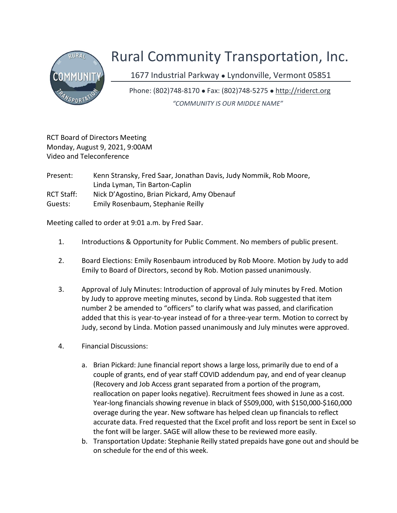

## Rural Community Transportation, Inc.

1677 Industrial Parkway . Lyndonville, Vermont 05851

Phone: (802)748-8170 Fax: (802)748-5275 http://riderct.org "COMMUNITY IS OUR MIDDLE NAME"

RCT Board of Directors Meeting Monday, August 9, 2021, 9:00AM Video and Teleconference

Present: Kenn Stransky, Fred Saar, Jonathan Davis, Judy Nommik, Rob Moore, Linda Lyman, Tin Barton-Caplin RCT Staff: Nick D'Agostino, Brian Pickard, Amy Obenauf Guests: Emily Rosenbaum, Stephanie Reilly

Meeting called to order at 9:01 a.m. by Fred Saar.

- 1. Introductions & Opportunity for Public Comment. No members of public present.
- 2. Board Elections: Emily Rosenbaum introduced by Rob Moore. Motion by Judy to add Emily to Board of Directors, second by Rob. Motion passed unanimously.
- 3. Approval of July Minutes: Introduction of approval of July minutes by Fred. Motion by Judy to approve meeting minutes, second by Linda. Rob suggested that item number 2 be amended to "officers" to clarify what was passed, and clarification added that this is year-to-year instead of for a three-year term. Motion to correct by Judy, second by Linda. Motion passed unanimously and July minutes were approved.
- 4. Financial Discussions:
	- a. Brian Pickard: June financial report shows a large loss, primarily due to end of a couple of grants, end of year staff COVID addendum pay, and end of year cleanup (Recovery and Job Access grant separated from a portion of the program, reallocation on paper looks negative). Recruitment fees showed in June as a cost. Year-long financials showing revenue in black of \$509,000, with \$150,000-\$160,000 overage during the year. New software has helped clean up financials to reflect accurate data. Fred requested that the Excel profit and loss report be sent in Excel so the font will be larger. SAGE will allow these to be reviewed more easily.
	- b. Transportation Update: Stephanie Reilly stated prepaids have gone out and should be on schedule for the end of this week.